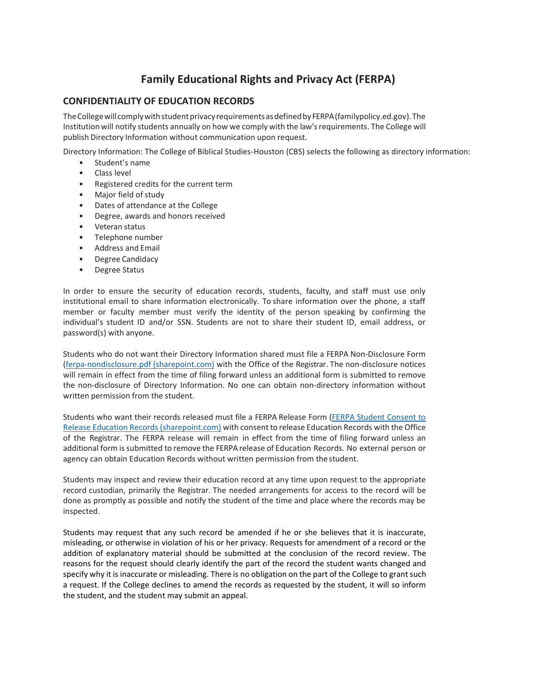## **Family Educational Rights and Privacy Act (FERPA)**

## **CONFIDENTIALITY OF EDUCATION RECORDS**

The College will comply with student privacy requirements as defined by FERPA (familypolicy.ed.gov). The Institution will notify students annually on how we comply with the law's requirements. The College will publish Directory Information without communication upon request.

Directory Information: The College of Biblical Studies-Houston (CBS) selects the following as directory information:

- Student's name
- Class level
- Registered credits for the current term
- Major field of study
- Dates of attendance at the College
- Degree, awards and honors received
- Veteran status
- Telephone number
- Address and Email
- Degree Candidacy
- Degree Status

In order to ensure the security of education records, students, faculty, and staff must use only institutional email to share information electronically. To share information over the phone, a staff member or faculty member must verify the identity of the person speaking by confirming the individual's student ID and/or SSN. Students are not to share their student ID, email address, or password(s) with anyone.

Students who do not want their Directory Information shared must file a FERPA Non-Disclosure Form [\(ferpa-nondisclosure.pdf \(sharepoint.com\)](https://cbshouston.sharepoint.com/sites/MyCBS/Shared%20Documents/Registrar/Forms/ferpa-nondisclosure.pdf?CT=1637729997345&OR=ItemsView) with the Office of the Registrar. The non-disclosure notices will remain in effect from the time of filing forward unless an additional form is submitted to remove the non-disclosure of Directory Information. No one can obtain non-directory information without written permission from the student.

Students who want their records released must file a FERPA Release Form [\(FERPA Student Consent to](https://cbshouston.sharepoint.com/sites/MyCBS/Shared%20Documents/Registrar/Forms/ferpa-consent.pdf?CT=1637729991485&OR=ItemsView)  [Release Education Records \(sharepoint.com\)](https://cbshouston.sharepoint.com/sites/MyCBS/Shared%20Documents/Registrar/Forms/ferpa-consent.pdf?CT=1637729991485&OR=ItemsView) with consent to release Education Records with the Office of the Registrar. The FERPA release will remain in effect from the time of filing forward unless an additional form issubmitted to remove the FERPA release of Education Records. No external person or agency can obtain Education Records without written permission from the student.

Students may inspect and review their education record at any time upon request to the appropriate record custodian, primarily the Registrar. The needed arrangements for access to the record will be done as promptly as possible and notify the student of the time and place where the records may be inspected.

Students may request that any such record be amended if he or she believes that it is inaccurate, misleading, or otherwise in violation of his or her privacy. Requests for amendment of a record or the addition of explanatory material should be submitted at the conclusion of the record review. The reasons for the request should clearly identify the part of the record the student wants changed and specify why it is inaccurate or misleading. There is no obligation on the part of the College to grant such a request. If the College declines to amend the records as requested by the student, it will so inform the student, and the student may submit an appeal.